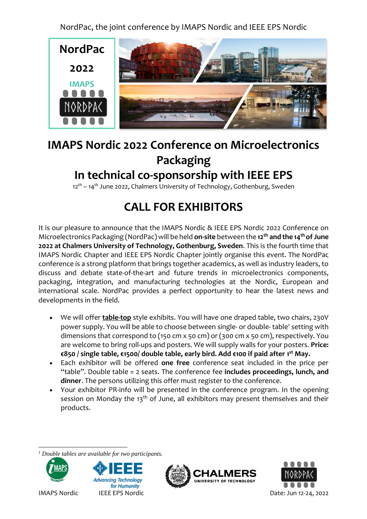NordPac, the joint conference by IMAPS Nordic and IEEE EPS Nordic



## **IMAPS Nordic 2022 Conference on Microelectronics Packaging In technical co-sponsorship with IEEE EPS**

12<sup>th</sup> – 14<sup>th</sup> June 2022, Chalmers University of Technology, Gothenburg, Sweden

# **CALL FOR EXHIBITORS**

It is our pleasure to announce that the IMAPS Nordic & IEEE EPS Nordic 2022 Conference on Microelectronics Packaging (NordPac) will be held **on-site** between the **12th and the 14th of June 2022 at Chalmers University of Technology, Gothenburg, Sweden**. This is the fourth time that IMAPS Nordic Chapter and IEEE EPS Nordic Chapter jointly organise this event. The NordPac conference is a strong platform that brings together academics, as well as industry leaders, to discuss and debate state-of-the-art and future trends in microelectronics components, packaging, integration, and manufacturing technologies at the Nordic, European and international scale. NordPac provides a perfect opportunity to hear the latest news and developments in the field.

- We will offer **table-top** style exhibits. You will have one draped table, two chairs, 230V power supply. You will be able to choose between single- or double-table<sup>1</sup> setting with dimensions that correspond to (150 cm x 50 cm) or (300 cm x 50 cm), respectively. You are welcome to bring roll-ups and posters. We will supply walls for your posters. **Price: €850 / single table, €1500/ double table, early bird. Add €100 if paid after 1 st May.**
- Each exhibitor will be offered **one free** conference seat included in the price per "table". Double table = 2 seats. The conference fee **includes proceedings, lunch, and dinner**. The persons utilizing this offer must register to the conference.
- Your exhibitor PR-info will be presented in the conference program. In the opening session on Monday the 13<sup>th</sup> of June, all exhibitors may present themselves and their products.

l *<sup>1</sup> Double tables are available for two participants.*